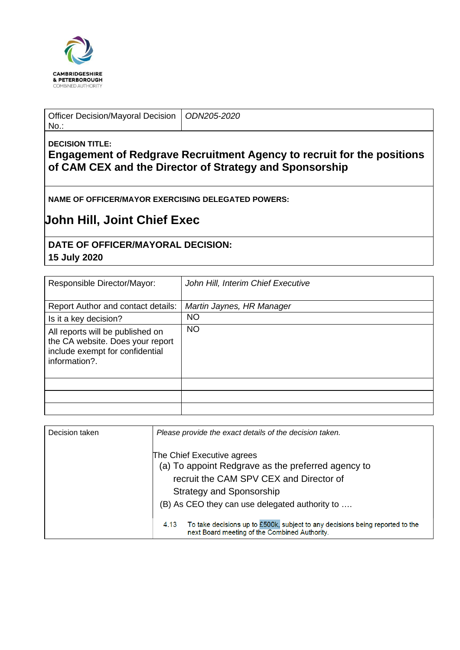

Officer Decision/Mayoral Decision No.:

*ODN205-2020*

## **DECISION TITLE:**

**Engagement of Redgrave Recruitment Agency to recruit for the positions of CAM CEX and the Director of Strategy and Sponsorship**

**NAME OF OFFICER/MAYOR EXERCISING DELEGATED POWERS:**

## **John Hill, Joint Chief Exec**

## **DATE OF OFFICER/MAYORAL DECISION:**

## **15 July 2020**

| Responsible Director/Mayor:                                                                                              | John Hill, Interim Chief Executive |  |
|--------------------------------------------------------------------------------------------------------------------------|------------------------------------|--|
| Report Author and contact details:                                                                                       | Martin Jaynes, HR Manager          |  |
| Is it a key decision?                                                                                                    | <b>NO</b>                          |  |
| All reports will be published on<br>the CA website. Does your report<br>include exempt for confidential<br>information?. | <b>NO</b>                          |  |
|                                                                                                                          |                                    |  |
|                                                                                                                          |                                    |  |
|                                                                                                                          |                                    |  |

| Decision taken | Please provide the exact details of the decision taken.                                                                                |
|----------------|----------------------------------------------------------------------------------------------------------------------------------------|
|                | The Chief Executive agrees<br>(a) To appoint Redgrave as the preferred agency to                                                       |
|                | recruit the CAM SPV CEX and Director of                                                                                                |
|                | Strategy and Sponsorship                                                                                                               |
|                | (B) As CEO they can use delegated authority to                                                                                         |
|                | To take decisions up to £500k, subject to any decisions being reported to the<br>4.13<br>next Board meeting of the Combined Authority. |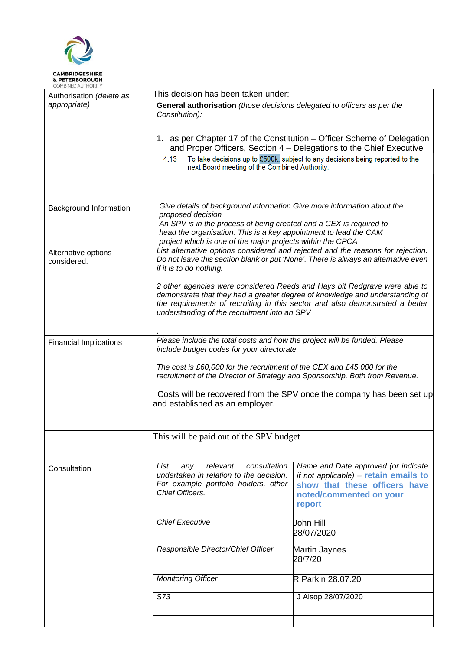

| COMBINED AUTHORITY                 |                                                                                                                                                                                                                                                                                                     |                                                                                                                                                    |  |  |
|------------------------------------|-----------------------------------------------------------------------------------------------------------------------------------------------------------------------------------------------------------------------------------------------------------------------------------------------------|----------------------------------------------------------------------------------------------------------------------------------------------------|--|--|
| Authorisation (delete as           | This decision has been taken under:                                                                                                                                                                                                                                                                 |                                                                                                                                                    |  |  |
| appropriate)                       | General authorisation (those decisions delegated to officers as per the<br>Constitution):                                                                                                                                                                                                           |                                                                                                                                                    |  |  |
|                                    | 1. as per Chapter 17 of the Constitution – Officer Scheme of Delegation<br>and Proper Officers, Section 4 – Delegations to the Chief Executive                                                                                                                                                      |                                                                                                                                                    |  |  |
|                                    | 4.13<br>next Board meeting of the Combined Authority.                                                                                                                                                                                                                                               | To take decisions up to £500k, subject to any decisions being reported to the                                                                      |  |  |
|                                    |                                                                                                                                                                                                                                                                                                     |                                                                                                                                                    |  |  |
| Background Information             | Give details of background information Give more information about the<br>proposed decision<br>An SPV is in the process of being created and a CEX is required to<br>head the organisation. This is a key appointment to lead the CAM<br>project which is one of the major projects within the CPCA |                                                                                                                                                    |  |  |
| Alternative options<br>considered. | List alternative options considered and rejected and the reasons for rejection.<br>Do not leave this section blank or put 'None'. There is always an alternative even<br>if it is to do nothing.                                                                                                    |                                                                                                                                                    |  |  |
|                                    | 2 other agencies were considered Reeds and Hays bit Redgrave were able to<br>demonstrate that they had a greater degree of knowledge and understanding of<br>the requirements of recruiting in this sector and also demonstrated a better<br>understanding of the recruitment into an SPV           |                                                                                                                                                    |  |  |
| <b>Financial Implications</b>      | Please include the total costs and how the project will be funded. Please                                                                                                                                                                                                                           |                                                                                                                                                    |  |  |
|                                    | include budget codes for your directorate                                                                                                                                                                                                                                                           |                                                                                                                                                    |  |  |
|                                    | The cost is £60,000 for the recruitment of the CEX and £45,000 for the<br>recruitment of the Director of Strategy and Sponsorship. Both from Revenue.                                                                                                                                               |                                                                                                                                                    |  |  |
|                                    | Costs will be recovered from the SPV once the company has been set up<br>and established as an employer.                                                                                                                                                                                            |                                                                                                                                                    |  |  |
|                                    |                                                                                                                                                                                                                                                                                                     |                                                                                                                                                    |  |  |
|                                    | This will be paid out of the SPV budget                                                                                                                                                                                                                                                             |                                                                                                                                                    |  |  |
| Consultation                       | List<br>relevant<br>consultation<br>any<br>undertaken in relation to the decision.<br>For example portfolio holders, other<br>Chief Officers.                                                                                                                                                       | Name and Date approved (or indicate<br>if not applicable) - retain emails to<br>show that these officers have<br>noted/commented on your<br>report |  |  |
|                                    | <b>Chief Executive</b>                                                                                                                                                                                                                                                                              | John Hill<br>28/07/2020                                                                                                                            |  |  |
|                                    | Responsible Director/Chief Officer                                                                                                                                                                                                                                                                  | Martin Jaynes<br>28/7/20                                                                                                                           |  |  |
|                                    | <b>Monitoring Officer</b>                                                                                                                                                                                                                                                                           | R Parkin 28.07.20                                                                                                                                  |  |  |
|                                    | S73                                                                                                                                                                                                                                                                                                 | J Alsop 28/07/2020                                                                                                                                 |  |  |
|                                    |                                                                                                                                                                                                                                                                                                     |                                                                                                                                                    |  |  |
|                                    |                                                                                                                                                                                                                                                                                                     |                                                                                                                                                    |  |  |